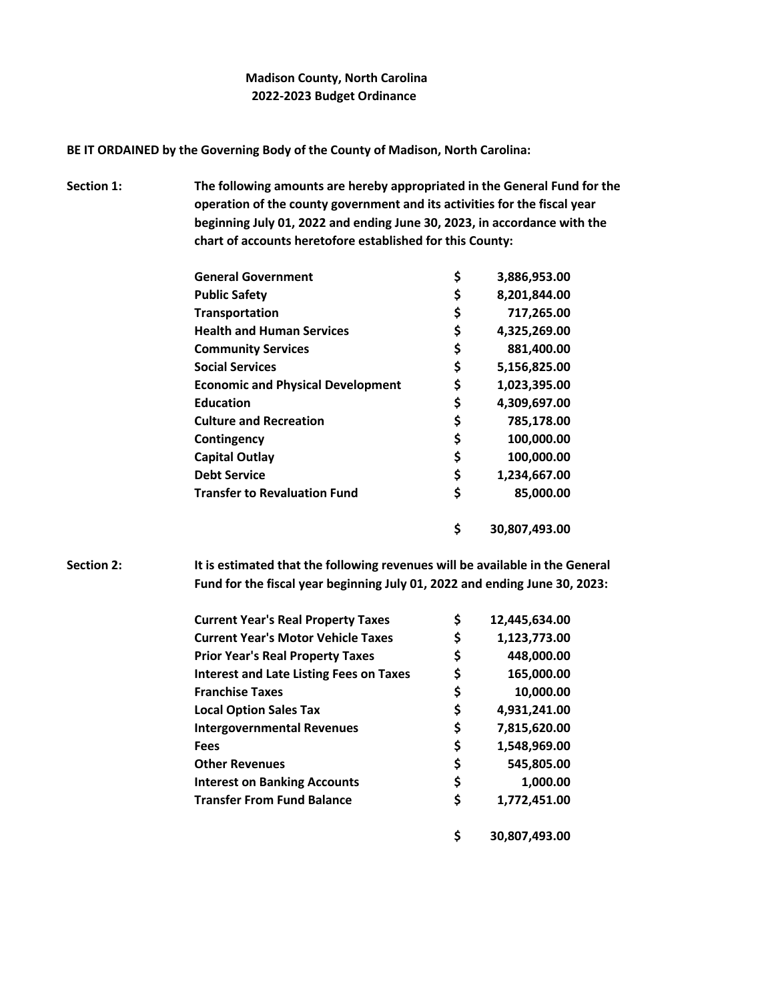## **Madison County, North Carolina 2022-2023 Budget Ordinance**

**BE IT ORDAINED by the Governing Body of the County of Madison, North Carolina:**

**Section 1: The following amounts are hereby appropriated in the General Fund for the operation of the county government and its activities for the fiscal year beginning July 01, 2022 and ending June 30, 2023, in accordance with the chart of accounts heretofore established for this County:**

| <b>General Government</b>                | \$<br>3,886,953.00  |
|------------------------------------------|---------------------|
| <b>Public Safety</b>                     | \$<br>8,201,844.00  |
| Transportation                           | \$<br>717,265.00    |
| <b>Health and Human Services</b>         | \$<br>4,325,269.00  |
| <b>Community Services</b>                | \$<br>881,400.00    |
| <b>Social Services</b>                   | \$<br>5,156,825.00  |
| <b>Economic and Physical Development</b> | \$<br>1,023,395.00  |
| <b>Education</b>                         | \$<br>4,309,697.00  |
| <b>Culture and Recreation</b>            | \$<br>785,178.00    |
| Contingency                              | \$<br>100,000.00    |
| <b>Capital Outlay</b>                    | \$<br>100,000.00    |
| <b>Debt Service</b>                      | \$<br>1,234,667.00  |
| <b>Transfer to Revaluation Fund</b>      | \$<br>85,000.00     |
|                                          | \$<br>30,807,493.00 |

**Section 2: It is estimated that the following revenues will be available in the General Fund for the fiscal year beginning July 01, 2022 and ending June 30, 2023:**

| <b>Current Year's Real Property Taxes</b>      | \$<br>12,445,634.00 |
|------------------------------------------------|---------------------|
| <b>Current Year's Motor Vehicle Taxes</b>      | \$<br>1,123,773.00  |
| <b>Prior Year's Real Property Taxes</b>        | \$<br>448,000.00    |
| <b>Interest and Late Listing Fees on Taxes</b> | \$<br>165,000.00    |
| <b>Franchise Taxes</b>                         | \$<br>10,000.00     |
| <b>Local Option Sales Tax</b>                  | \$<br>4,931,241.00  |
| <b>Intergovernmental Revenues</b>              | \$<br>7,815,620.00  |
| <b>Fees</b>                                    | \$<br>1,548,969.00  |
| <b>Other Revenues</b>                          | \$<br>545,805.00    |
| <b>Interest on Banking Accounts</b>            | \$<br>1,000.00      |
| <b>Transfer From Fund Balance</b>              | \$<br>1,772,451.00  |
|                                                | 30,807,493.00       |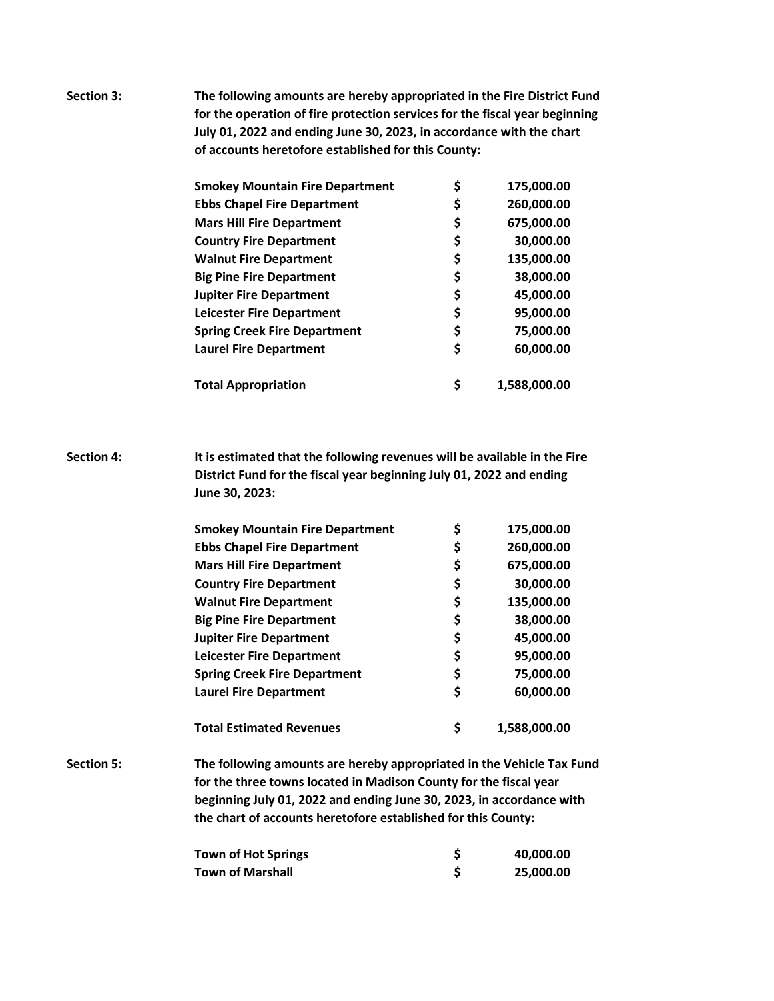**Section 3: The following amounts are hereby appropriated in the Fire District Fund for the operation of fire protection services for the fiscal year beginning July 01, 2022 and ending June 30, 2023, in accordance with the chart of accounts heretofore established for this County:**

| <b>Smokey Mountain Fire Department</b> | \$<br>175,000.00   |
|----------------------------------------|--------------------|
| <b>Ebbs Chapel Fire Department</b>     | \$<br>260,000.00   |
| <b>Mars Hill Fire Department</b>       | \$<br>675,000.00   |
| <b>Country Fire Department</b>         | \$<br>30,000.00    |
| <b>Walnut Fire Department</b>          | \$<br>135,000.00   |
| <b>Big Pine Fire Department</b>        | \$<br>38,000.00    |
| <b>Jupiter Fire Department</b>         | \$<br>45,000.00    |
| <b>Leicester Fire Department</b>       | \$<br>95,000.00    |
| <b>Spring Creek Fire Department</b>    | \$<br>75,000.00    |
| <b>Laurel Fire Department</b>          | \$<br>60,000.00    |
| <b>Total Appropriation</b>             | \$<br>1,588,000.00 |

**Section 4: It is estimated that the following revenues will be available in the Fire District Fund for the fiscal year beginning July 01, 2022 and ending June 30, 2023:**

| <b>Smokey Mountain Fire Department</b> | \$<br>175,000.00   |
|----------------------------------------|--------------------|
| <b>Ebbs Chapel Fire Department</b>     | \$<br>260,000.00   |
| <b>Mars Hill Fire Department</b>       | \$<br>675,000.00   |
| <b>Country Fire Department</b>         | \$<br>30,000.00    |
| <b>Walnut Fire Department</b>          | \$<br>135,000.00   |
| <b>Big Pine Fire Department</b>        | \$<br>38,000.00    |
| <b>Jupiter Fire Department</b>         | \$<br>45,000.00    |
| <b>Leicester Fire Department</b>       | \$<br>95,000.00    |
| <b>Spring Creek Fire Department</b>    | \$<br>75,000.00    |
| <b>Laurel Fire Department</b>          | \$<br>60,000.00    |
| <b>Total Estimated Revenues</b>        | \$<br>1.588.000.00 |

**Section 5: The following amounts are hereby appropriated in the Vehicle Tax Fund for the three towns located in Madison County for the fiscal year beginning July 01, 2022 and ending June 30, 2023, in accordance with the chart of accounts heretofore established for this County:**

| <b>Town of Hot Springs</b> | 40,000.00 |
|----------------------------|-----------|
| Town of Marshall           | 25,000.00 |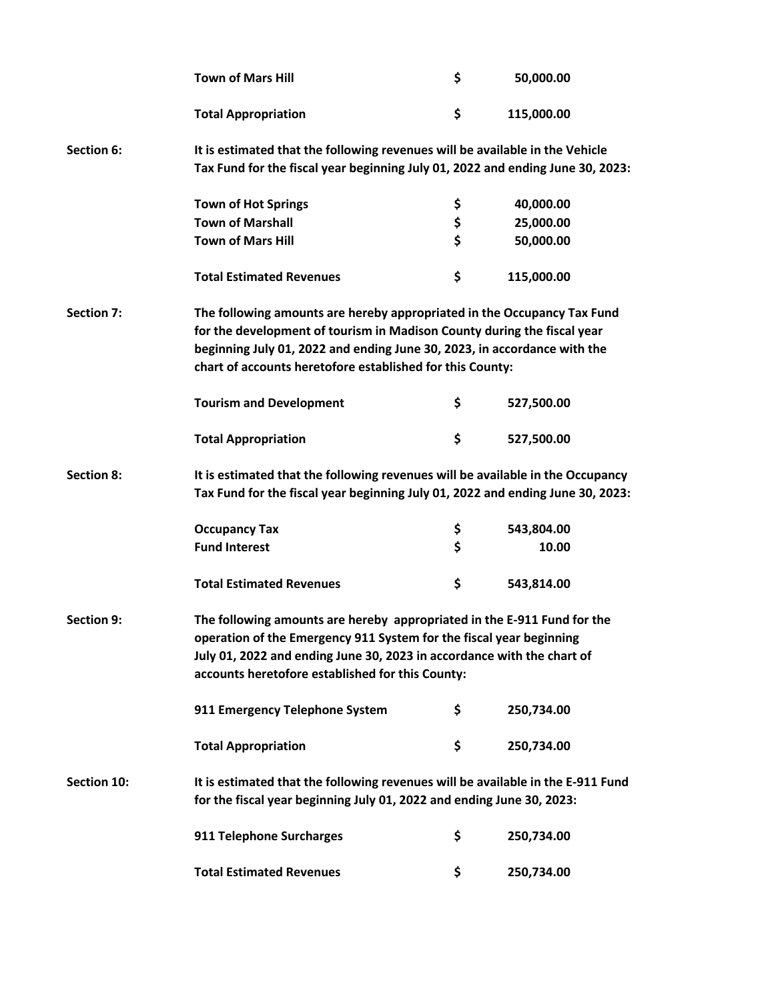|                   | <b>Town of Mars Hill</b>                                                                                                                                                                                                                                                                    | \$ | 50,000.00  |  |
|-------------------|---------------------------------------------------------------------------------------------------------------------------------------------------------------------------------------------------------------------------------------------------------------------------------------------|----|------------|--|
|                   | <b>Total Appropriation</b>                                                                                                                                                                                                                                                                  | \$ | 115,000.00 |  |
| <b>Section 6:</b> | It is estimated that the following revenues will be available in the Vehicle<br>Tax Fund for the fiscal year beginning July 01, 2022 and ending June 30, 2023:                                                                                                                              |    |            |  |
|                   | <b>Town of Hot Springs</b>                                                                                                                                                                                                                                                                  | \$ | 40,000.00  |  |
|                   | <b>Town of Marshall</b>                                                                                                                                                                                                                                                                     | \$ | 25,000.00  |  |
|                   | <b>Town of Mars Hill</b>                                                                                                                                                                                                                                                                    | \$ | 50,000.00  |  |
|                   | <b>Total Estimated Revenues</b>                                                                                                                                                                                                                                                             | \$ | 115,000.00 |  |
| <b>Section 7:</b> | The following amounts are hereby appropriated in the Occupancy Tax Fund<br>for the development of tourism in Madison County during the fiscal year<br>beginning July 01, 2022 and ending June 30, 2023, in accordance with the<br>chart of accounts heretofore established for this County: |    |            |  |
|                   | <b>Tourism and Development</b>                                                                                                                                                                                                                                                              | \$ | 527,500.00 |  |
|                   | <b>Total Appropriation</b>                                                                                                                                                                                                                                                                  | \$ | 527,500.00 |  |
| <b>Section 8:</b> | It is estimated that the following revenues will be available in the Occupancy<br>Tax Fund for the fiscal year beginning July 01, 2022 and ending June 30, 2023:                                                                                                                            |    |            |  |
|                   | <b>Occupancy Tax</b>                                                                                                                                                                                                                                                                        | \$ | 543,804.00 |  |
|                   | <b>Fund Interest</b>                                                                                                                                                                                                                                                                        | \$ | 10.00      |  |
|                   | <b>Total Estimated Revenues</b>                                                                                                                                                                                                                                                             | \$ | 543,814.00 |  |
| <b>Section 9:</b> | The following amounts are hereby appropriated in the E-911 Fund for the<br>operation of the Emergency 911 System for the fiscal year beginning<br>July 01, 2022 and ending June 30, 2023 in accordance with the chart of<br>accounts heretofore established for this County:                |    |            |  |
|                   | 911 Emergency Telephone System                                                                                                                                                                                                                                                              | \$ | 250,734.00 |  |
|                   | <b>Total Appropriation</b>                                                                                                                                                                                                                                                                  | \$ | 250,734.00 |  |
| Section 10:       | It is estimated that the following revenues will be available in the E-911 Fund<br>for the fiscal year beginning July 01, 2022 and ending June 30, 2023:                                                                                                                                    |    |            |  |
|                   | 911 Telephone Surcharges                                                                                                                                                                                                                                                                    | \$ | 250,734.00 |  |
|                   | <b>Total Estimated Revenues</b>                                                                                                                                                                                                                                                             | \$ | 250,734.00 |  |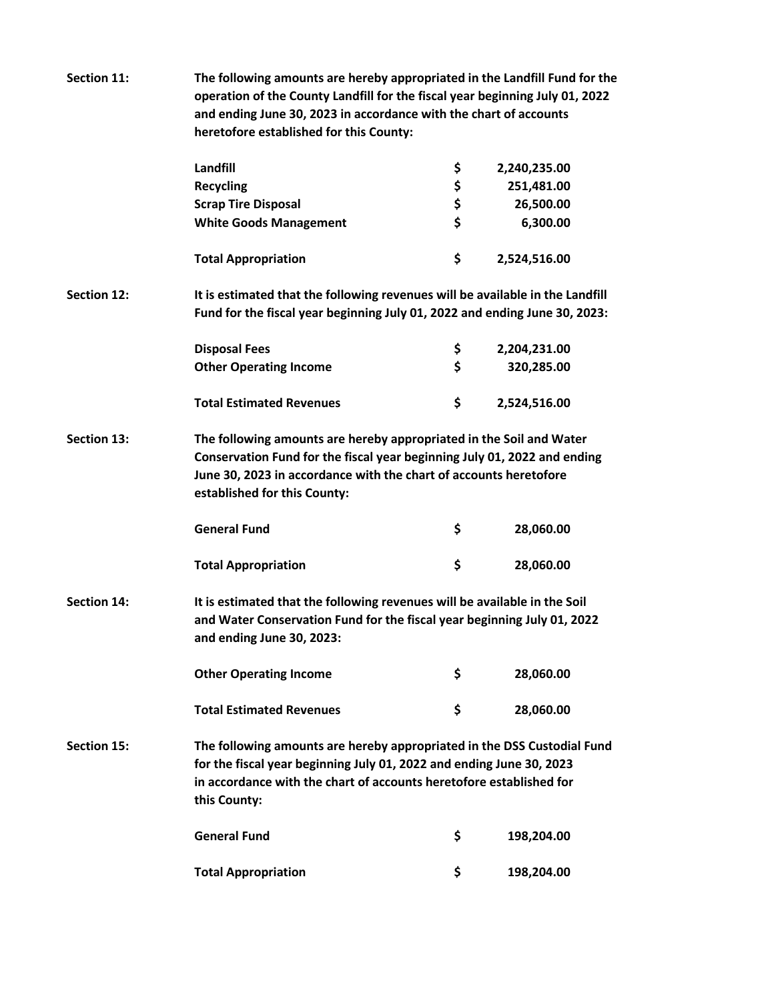| Section 11:        | The following amounts are hereby appropriated in the Landfill Fund for the<br>operation of the County Landfill for the fiscal year beginning July 01, 2022<br>and ending June 30, 2023 in accordance with the chart of accounts<br>heretofore established for this County: |    |              |  |
|--------------------|----------------------------------------------------------------------------------------------------------------------------------------------------------------------------------------------------------------------------------------------------------------------------|----|--------------|--|
|                    | Landfill                                                                                                                                                                                                                                                                   | \$ | 2,240,235.00 |  |
|                    | <b>Recycling</b>                                                                                                                                                                                                                                                           | \$ | 251,481.00   |  |
|                    | <b>Scrap Tire Disposal</b>                                                                                                                                                                                                                                                 | \$ | 26,500.00    |  |
|                    | <b>White Goods Management</b>                                                                                                                                                                                                                                              | \$ | 6,300.00     |  |
|                    | <b>Total Appropriation</b>                                                                                                                                                                                                                                                 | \$ | 2,524,516.00 |  |
| <b>Section 12:</b> | It is estimated that the following revenues will be available in the Landfill<br>Fund for the fiscal year beginning July 01, 2022 and ending June 30, 2023:                                                                                                                |    |              |  |
|                    | <b>Disposal Fees</b>                                                                                                                                                                                                                                                       | \$ | 2,204,231.00 |  |
|                    | <b>Other Operating Income</b>                                                                                                                                                                                                                                              | \$ | 320,285.00   |  |
|                    | <b>Total Estimated Revenues</b>                                                                                                                                                                                                                                            | \$ | 2,524,516.00 |  |
| <b>Section 13:</b> | The following amounts are hereby appropriated in the Soil and Water<br>Conservation Fund for the fiscal year beginning July 01, 2022 and ending<br>June 30, 2023 in accordance with the chart of accounts heretofore<br>established for this County:                       |    |              |  |
|                    | <b>General Fund</b>                                                                                                                                                                                                                                                        | \$ | 28,060.00    |  |
|                    | <b>Total Appropriation</b>                                                                                                                                                                                                                                                 | \$ | 28,060.00    |  |
| <b>Section 14:</b> | It is estimated that the following revenues will be available in the Soil<br>and Water Conservation Fund for the fiscal year beginning July 01, 2022<br>and ending June 30, 2023:                                                                                          |    |              |  |
|                    | <b>Other Operating Income</b>                                                                                                                                                                                                                                              | \$ | 28,060.00    |  |
|                    | <b>Total Estimated Revenues</b>                                                                                                                                                                                                                                            | \$ | 28,060.00    |  |
| Section 15:        | The following amounts are hereby appropriated in the DSS Custodial Fund<br>for the fiscal year beginning July 01, 2022 and ending June 30, 2023<br>in accordance with the chart of accounts heretofore established for<br>this County:                                     |    |              |  |
|                    | <b>General Fund</b>                                                                                                                                                                                                                                                        | \$ | 198,204.00   |  |
|                    | <b>Total Appropriation</b>                                                                                                                                                                                                                                                 | \$ | 198,204.00   |  |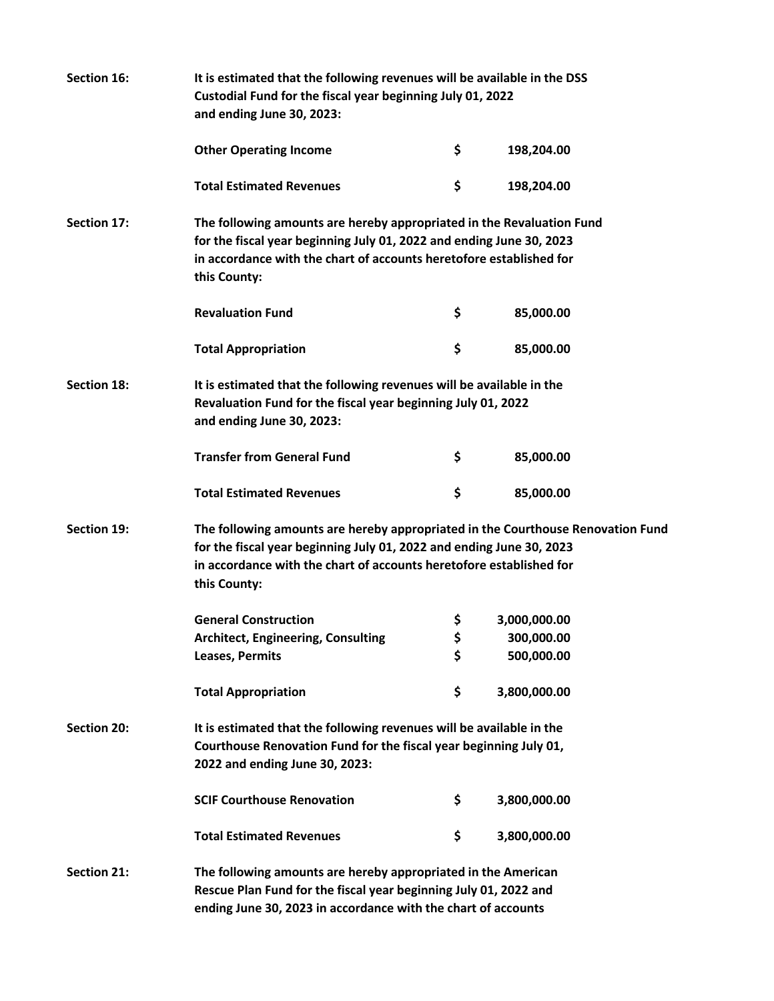| Section 16:        | It is estimated that the following revenues will be available in the DSS<br>Custodial Fund for the fiscal year beginning July 01, 2022<br>and ending June 30, 2023:                                                                            |    |              |  |  |
|--------------------|------------------------------------------------------------------------------------------------------------------------------------------------------------------------------------------------------------------------------------------------|----|--------------|--|--|
|                    | <b>Other Operating Income</b>                                                                                                                                                                                                                  | \$ | 198,204.00   |  |  |
|                    | <b>Total Estimated Revenues</b>                                                                                                                                                                                                                | \$ | 198,204.00   |  |  |
| Section 17:        | The following amounts are hereby appropriated in the Revaluation Fund<br>for the fiscal year beginning July 01, 2022 and ending June 30, 2023<br>in accordance with the chart of accounts heretofore established for<br>this County:           |    |              |  |  |
|                    | <b>Revaluation Fund</b>                                                                                                                                                                                                                        | \$ | 85,000.00    |  |  |
|                    | <b>Total Appropriation</b>                                                                                                                                                                                                                     | \$ | 85,000.00    |  |  |
| <b>Section 18:</b> | It is estimated that the following revenues will be available in the<br>Revaluation Fund for the fiscal year beginning July 01, 2022<br>and ending June 30, 2023:                                                                              |    |              |  |  |
|                    | <b>Transfer from General Fund</b>                                                                                                                                                                                                              | \$ | 85,000.00    |  |  |
|                    | <b>Total Estimated Revenues</b>                                                                                                                                                                                                                | \$ | 85,000.00    |  |  |
| Section 19:        | The following amounts are hereby appropriated in the Courthouse Renovation Fund<br>for the fiscal year beginning July 01, 2022 and ending June 30, 2023<br>in accordance with the chart of accounts heretofore established for<br>this County: |    |              |  |  |
|                    | <b>General Construction</b>                                                                                                                                                                                                                    | \$ | 3,000,000.00 |  |  |
|                    | Architect, Engineering, Consulting                                                                                                                                                                                                             | Ş  | 300,000.00   |  |  |
|                    | Leases, Permits                                                                                                                                                                                                                                | \$ | 500,000.00   |  |  |
|                    | <b>Total Appropriation</b>                                                                                                                                                                                                                     | \$ | 3,800,000.00 |  |  |
| <b>Section 20:</b> | It is estimated that the following revenues will be available in the<br>Courthouse Renovation Fund for the fiscal year beginning July 01,<br>2022 and ending June 30, 2023:                                                                    |    |              |  |  |
|                    | <b>SCIF Courthouse Renovation</b>                                                                                                                                                                                                              | \$ | 3,800,000.00 |  |  |
|                    | <b>Total Estimated Revenues</b>                                                                                                                                                                                                                | \$ | 3,800,000.00 |  |  |
| <b>Section 21:</b> | The following amounts are hereby appropriated in the American<br>Rescue Plan Fund for the fiscal year beginning July 01, 2022 and<br>ending June 30, 2023 in accordance with the chart of accounts                                             |    |              |  |  |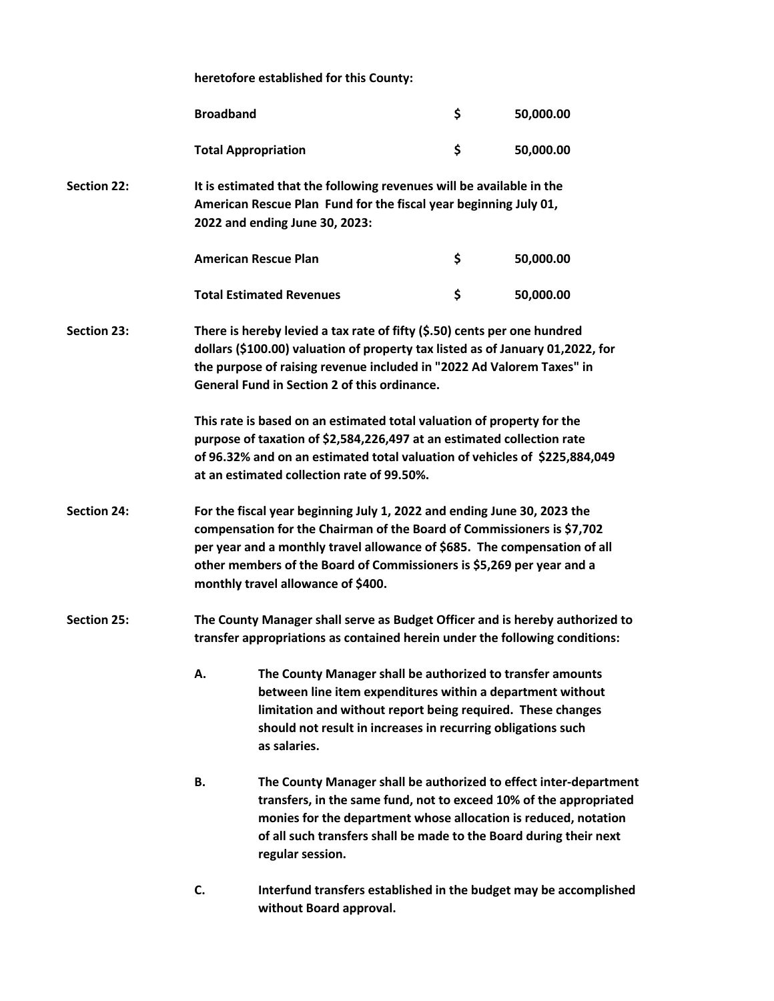**heretofore established for this County:**

|                    | <b>Broadband</b>                                                                                                                                                                                                                                                                                           |                                                                                                                                                                                                                                                                                                                                               | \$ | 50,000.00                                                         |  |
|--------------------|------------------------------------------------------------------------------------------------------------------------------------------------------------------------------------------------------------------------------------------------------------------------------------------------------------|-----------------------------------------------------------------------------------------------------------------------------------------------------------------------------------------------------------------------------------------------------------------------------------------------------------------------------------------------|----|-------------------------------------------------------------------|--|
|                    |                                                                                                                                                                                                                                                                                                            | <b>Total Appropriation</b>                                                                                                                                                                                                                                                                                                                    | \$ | 50,000.00                                                         |  |
| <b>Section 22:</b> |                                                                                                                                                                                                                                                                                                            | It is estimated that the following revenues will be available in the<br>American Rescue Plan Fund for the fiscal year beginning July 01,<br>2022 and ending June 30, 2023:                                                                                                                                                                    |    |                                                                   |  |
|                    |                                                                                                                                                                                                                                                                                                            | <b>American Rescue Plan</b>                                                                                                                                                                                                                                                                                                                   | \$ | 50,000.00                                                         |  |
|                    |                                                                                                                                                                                                                                                                                                            | <b>Total Estimated Revenues</b>                                                                                                                                                                                                                                                                                                               | \$ | 50,000.00                                                         |  |
| <b>Section 23:</b> |                                                                                                                                                                                                                                                                                                            | There is hereby levied a tax rate of fifty (\$.50) cents per one hundred<br>dollars (\$100.00) valuation of property tax listed as of January 01,2022, for<br>the purpose of raising revenue included in "2022 Ad Valorem Taxes" in<br>General Fund in Section 2 of this ordinance.                                                           |    |                                                                   |  |
|                    |                                                                                                                                                                                                                                                                                                            | This rate is based on an estimated total valuation of property for the<br>purpose of taxation of \$2,584,226,497 at an estimated collection rate<br>of 96.32% and on an estimated total valuation of vehicles of \$225,884,049<br>at an estimated collection rate of 99.50%.                                                                  |    |                                                                   |  |
| <b>Section 24:</b> |                                                                                                                                                                                                                                                                                                            | For the fiscal year beginning July 1, 2022 and ending June 30, 2023 the<br>compensation for the Chairman of the Board of Commissioners is \$7,702<br>per year and a monthly travel allowance of \$685. The compensation of all<br>other members of the Board of Commissioners is \$5,269 per year and a<br>monthly travel allowance of \$400. |    |                                                                   |  |
| <b>Section 25:</b> |                                                                                                                                                                                                                                                                                                            | The County Manager shall serve as Budget Officer and is hereby authorized to<br>transfer appropriations as contained herein under the following conditions:                                                                                                                                                                                   |    |                                                                   |  |
|                    | Α.<br>The County Manager shall be authorized to transfer amounts<br>between line item expenditures within a department without<br>limitation and without report being required. These changes<br>should not result in increases in recurring obligations such<br>as salaries.                              |                                                                                                                                                                                                                                                                                                                                               |    |                                                                   |  |
|                    | В.<br>The County Manager shall be authorized to effect inter-department<br>transfers, in the same fund, not to exceed 10% of the appropriated<br>monies for the department whose allocation is reduced, notation<br>of all such transfers shall be made to the Board during their next<br>regular session. |                                                                                                                                                                                                                                                                                                                                               |    |                                                                   |  |
|                    | C.                                                                                                                                                                                                                                                                                                         | without Board approval.                                                                                                                                                                                                                                                                                                                       |    | Interfund transfers established in the budget may be accomplished |  |